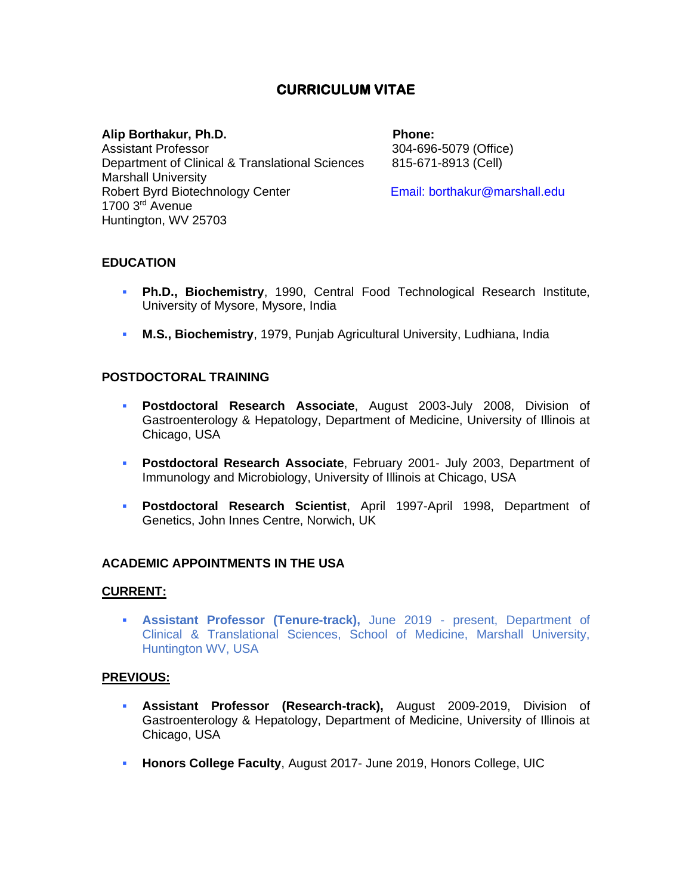# **CURRICULUM VITAE**

#### Alip Borthakur, Ph.D. **Phone:** Phone:

Assistant Professor 304-696-5079 (Office) Department of Clinical & Translational Sciences 815-671-8913 (Cell) Marshall University Robert Byrd Biotechnology Center **Email: borthakur@marshall.edu** 1700 3rd Avenue Huntington, WV 25703

### **EDUCATION**

- **Ph.D., Biochemistry**, 1990, Central Food Technological Research Institute, University of Mysore, Mysore, India
- **M.S., Biochemistry**, 1979, Punjab Agricultural University, Ludhiana, India

#### **POSTDOCTORAL TRAINING**

- **Postdoctoral Research Associate**, August 2003-July 2008, Division of Gastroenterology & Hepatology, Department of Medicine, University of Illinois at Chicago, USA
- **Postdoctoral Research Associate**, February 2001- July 2003, Department of Immunology and Microbiology, University of Illinois at Chicago, USA
- **Postdoctoral Research Scientist**, April 1997-April 1998, Department of Genetics, John Innes Centre, Norwich, UK

#### **ACADEMIC APPOINTMENTS IN THE USA**

#### **CURRENT:**

▪ **Assistant Professor (Tenure-track),** June 2019 - present, Department of Clinical & Translational Sciences, School of Medicine, Marshall University, Huntington WV, USA

#### **PREVIOUS:**

- **Assistant Professor (Research-track),** August 2009-2019, Division of Gastroenterology & Hepatology, Department of Medicine, University of Illinois at Chicago, USA
- **Honors College Faculty, August 2017- June 2019, Honors College, UIC**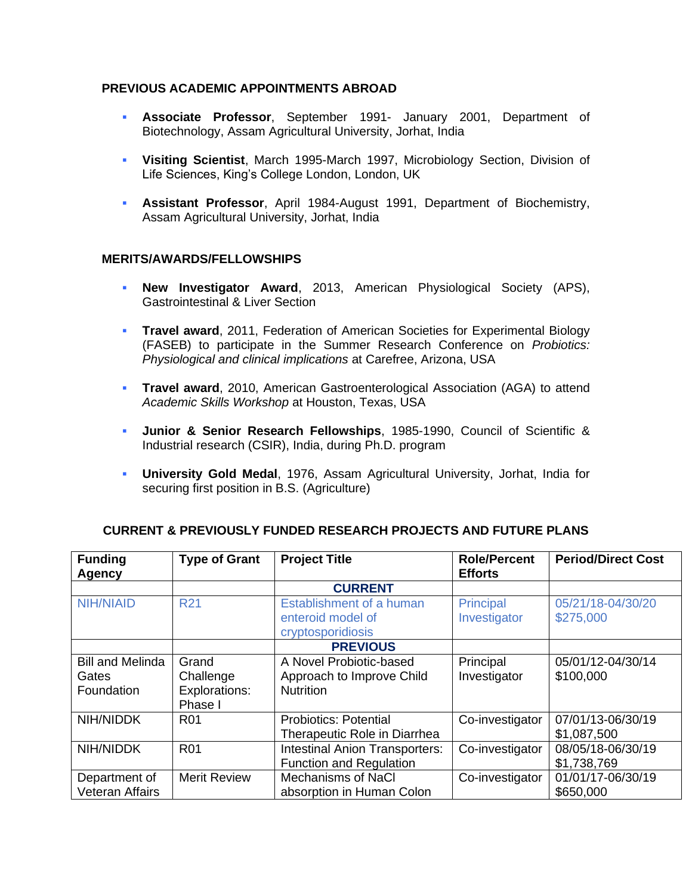### **PREVIOUS ACADEMIC APPOINTMENTS ABROAD**

- **Associate Professor**, September 1991- January 2001, Department of Biotechnology, Assam Agricultural University, Jorhat, India
- **Visiting Scientist**, March 1995-March 1997, Microbiology Section, Division of Life Sciences, King's College London, London, UK
- **Assistant Professor**, April 1984-August 1991, Department of Biochemistry, Assam Agricultural University, Jorhat, India

#### **MERITS/AWARDS/FELLOWSHIPS**

- **New Investigator Award**, 2013, American Physiological Society (APS), Gastrointestinal & Liver Section
- **Travel award**, 2011, Federation of American Societies for Experimental Biology (FASEB) to participate in the Summer Research Conference on *Probiotics: Physiological and clinical implications* at Carefree, Arizona, USA
- **Travel award**, 2010, American Gastroenterological Association (AGA) to attend *Academic Skills Workshop* at Houston, Texas, USA
- **Junior & Senior Research Fellowships**, 1985-1990, Council of Scientific & Industrial research (CSIR), India, during Ph.D. program
- **University Gold Medal**, 1976, Assam Agricultural University, Jorhat, India for securing first position in B.S. (Agriculture)

| <b>Funding</b>          | <b>Type of Grant</b> | <b>Project Title</b>                  | <b>Role/Percent</b> | <b>Period/Direct Cost</b> |
|-------------------------|----------------------|---------------------------------------|---------------------|---------------------------|
| <b>Agency</b>           |                      |                                       | <b>Efforts</b>      |                           |
|                         |                      | <b>CURRENT</b>                        |                     |                           |
| <b>NIH/NIAID</b>        | <b>R21</b>           | Establishment of a human              | Principal           | 05/21/18-04/30/20         |
|                         |                      | enteroid model of                     | Investigator        | \$275,000                 |
|                         |                      | cryptosporidiosis                     |                     |                           |
|                         |                      | <b>PREVIOUS</b>                       |                     |                           |
| <b>Bill and Melinda</b> | Grand                | A Novel Probiotic-based               | Principal           | 05/01/12-04/30/14         |
| Gates                   | Challenge            | Approach to Improve Child             | Investigator        | \$100,000                 |
| Foundation              | <b>Explorations:</b> | <b>Nutrition</b>                      |                     |                           |
|                         | Phase I              |                                       |                     |                           |
| NIH/NIDDK               | <b>R01</b>           | <b>Probiotics: Potential</b>          | Co-investigator     | 07/01/13-06/30/19         |
|                         |                      | Therapeutic Role in Diarrhea          |                     | \$1,087,500               |
| NIH/NIDDK               | <b>R01</b>           | <b>Intestinal Anion Transporters:</b> | Co-investigator     | 08/05/18-06/30/19         |
|                         |                      | <b>Function and Regulation</b>        |                     | \$1,738,769               |
| Department of           | <b>Merit Review</b>  | <b>Mechanisms of NaCl</b>             | Co-investigator     | 01/01/17-06/30/19         |
| <b>Veteran Affairs</b>  |                      | absorption in Human Colon             |                     | \$650,000                 |

#### **CURRENT & PREVIOUSLY FUNDED RESEARCH PROJECTS AND FUTURE PLANS**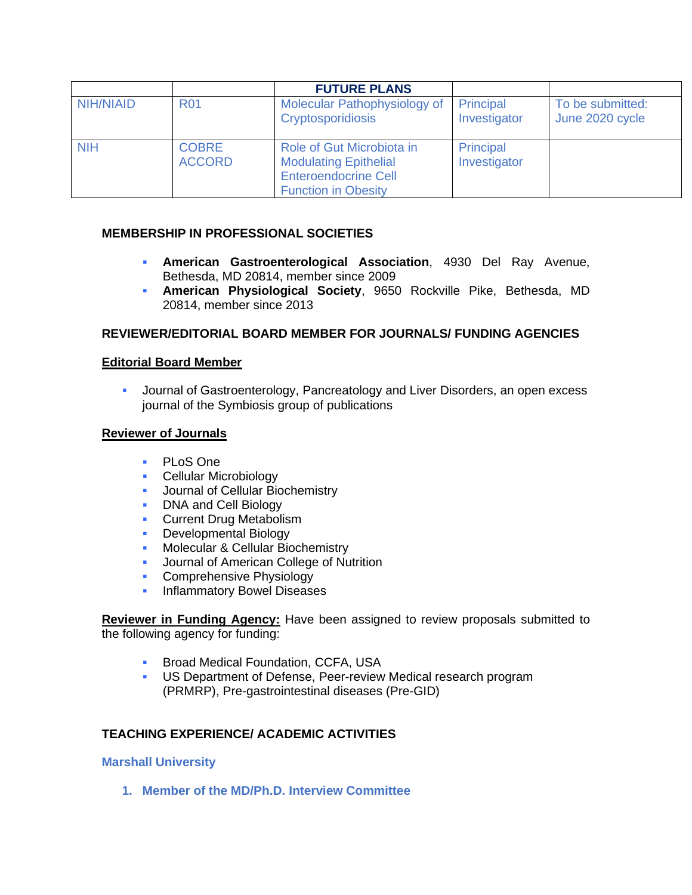|                  |                               | <b>FUTURE PLANS</b>                                                                                                    |                           |                                     |
|------------------|-------------------------------|------------------------------------------------------------------------------------------------------------------------|---------------------------|-------------------------------------|
| <b>NIH/NIAID</b> | <b>R01</b>                    | Molecular Pathophysiology of<br><b>Cryptosporidiosis</b>                                                               | Principal<br>Investigator | To be submitted:<br>June 2020 cycle |
| <b>NIH</b>       | <b>COBRE</b><br><b>ACCORD</b> | Role of Gut Microbiota in<br><b>Modulating Epithelial</b><br><b>Enteroendocrine Cell</b><br><b>Function in Obesity</b> | Principal<br>Investigator |                                     |

# **MEMBERSHIP IN PROFESSIONAL SOCIETIES**

- **American Gastroenterological Association**, 4930 Del Ray Avenue, Bethesda, MD 20814, member since 2009
- **American Physiological Society**, 9650 Rockville Pike, Bethesda, MD 20814, member since 2013

# **REVIEWER/EDITORIAL BOARD MEMBER FOR JOURNALS/ FUNDING AGENCIES**

### **Editorial Board Member**

**■** Journal of Gastroenterology, Pancreatology and Liver Disorders, an open excess journal of the Symbiosis group of publications

#### **Reviewer of Journals**

- PLoS One
- **Cellular Microbiology**
- **Journal of Cellular Biochemistry**
- DNA and Cell Biology
- **Current Drug Metabolism**
- **Developmental Biology**
- **Molecular & Cellular Biochemistry**
- **■** Journal of American College of Nutrition
- **Comprehensive Physiology**
- **·** Inflammatory Bowel Diseases

**Reviewer in Funding Agency:** Have been assigned to review proposals submitted to the following agency for funding:

- **E** Broad Medical Foundation, CCFA, USA
- US Department of Defense, Peer-review Medical research program (PRMRP), Pre-gastrointestinal diseases (Pre-GID)

### **TEACHING EXPERIENCE/ ACADEMIC ACTIVITIES**

#### **Marshall University**

**1. Member of the MD/Ph.D. Interview Committee**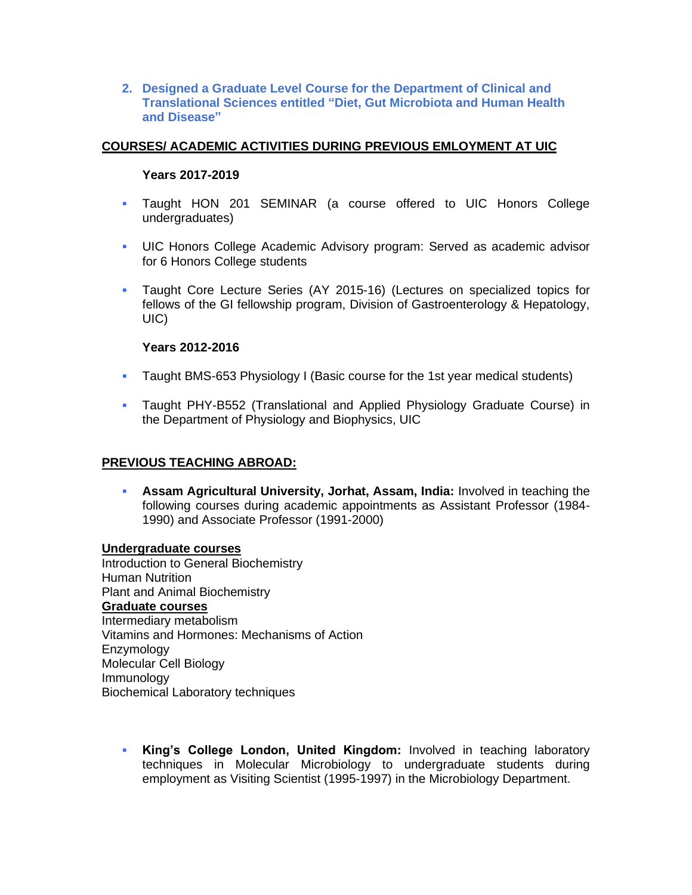**2. Designed a Graduate Level Course for the Department of Clinical and Translational Sciences entitled "Diet, Gut Microbiota and Human Health and Disease"**

# **COURSES/ ACADEMIC ACTIVITIES DURING PREVIOUS EMLOYMENT AT UIC**

### **Years 2017-2019**

- Taught HON 201 SEMINAR (a course offered to UIC Honors College undergraduates)
- **UIC Honors College Academic Advisory program: Served as academic advisor** for 6 Honors College students
- **·** Taught Core Lecture Series (AY 2015-16) (Lectures on specialized topics for fellows of the GI fellowship program, Division of Gastroenterology & Hepatology, UIC)

### **Years 2012-2016**

- **EXED** Taught BMS-653 Physiology I (Basic course for the 1st year medical students)
- **Taught PHY-B552 (Translational and Applied Physiology Graduate Course) in** the Department of Physiology and Biophysics, UIC

### **PREVIOUS TEACHING ABROAD:**

**• Assam Agricultural University, Jorhat, Assam, India: Involved in teaching the** following courses during academic appointments as Assistant Professor (1984- 1990) and Associate Professor (1991-2000)

#### **Undergraduate courses**

Introduction to General Biochemistry Human Nutrition Plant and Animal Biochemistry **Graduate courses**  Intermediary metabolism Vitamins and Hormones: Mechanisms of Action **Enzymology** Molecular Cell Biology Immunology Biochemical Laboratory techniques

▪ **King's College London, United Kingdom:** Involved in teaching laboratory techniques in Molecular Microbiology to undergraduate students during employment as Visiting Scientist (1995-1997) in the Microbiology Department.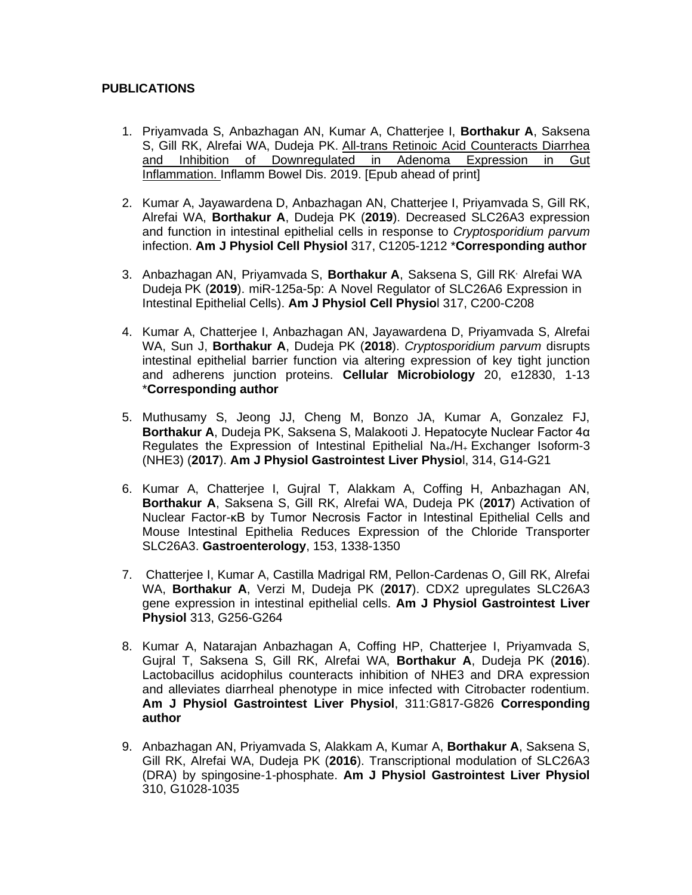# **PUBLICATIONS**

- 1. Priyamvada S, Anbazhagan AN, Kumar A, Chatterjee I, **Borthakur A**, Saksena S. Gill RK, Alrefai WA, Dudeia PK. All-trans Retinoic Acid Counteracts Diarrhea [and Inhibition of Downregulated in Adenoma Expression in Gut](https://www.ncbi.nlm.nih.gov/pubmed/31634391/)  [Inflammation.](https://www.ncbi.nlm.nih.gov/pubmed/31634391/) Inflamm Bowel Dis. 2019. [Epub ahead of print]
- 2. Kumar A, Jayawardena D, Anbazhagan AN, Chatterjee I, Priyamvada S, Gill RK, Alrefai WA, **Borthakur A**, Dudeja PK (**2019**). Decreased SLC26A3 expression and function in intestinal epithelial cells in response to *Cryptosporidium parvum*  infection. **Am J Physiol Cell Physiol** 317, C1205-1212 \***Corresponding author**
- 3. Anbazhagan AN, Priyamvada S, **Borthakur A**, Saksena S, Gill RK, Alrefai WA Dudeja PK (**2019**). miR-125a-5p: A Novel Regulator of SLC26A6 Expression in Intestinal Epithelial Cells). **Am J Physiol Cell Physio**l 317, C200-C208
- 4. Kumar A, Chatterjee I, Anbazhagan AN, Jayawardena D, Priyamvada S, Alrefai WA, Sun J, **Borthakur A**, Dudeja PK (**2018**). *Cryptosporidium parvum* disrupts intestinal epithelial barrier function via altering expression of key tight junction and adherens junction proteins. **Cellular Microbiology** 20, e12830, 1-13 \***Corresponding author**
- 5. Muthusamy S, Jeong JJ, Cheng M, Bonzo JA, Kumar A, Gonzalez FJ, **Borthakur A**, Dudeja PK, Saksena S, Malakooti J. [Hepatocyte Nuclear Factor 4α](https://www.ncbi.nlm.nih.gov/pubmed/28882825)  Regulates the [Expression of Intestinal Epithelial Na](https://www.ncbi.nlm.nih.gov/pubmed/28882825)+/H<sup>+</sup> Exchanger Isoform-3 [\(NHE3\)](https://www.ncbi.nlm.nih.gov/pubmed/28882825) (**2017**). **Am J Physiol Gastrointest Liver Physio**l, 314, G14-G21
- 6. Kumar A, Chatterjee I, Gujral T, Alakkam A, Coffing H, Anbazhagan AN, **Borthakur A**, Saksena S, Gill RK, Alrefai WA, Dudeja PK (**2017**) [Activation of](https://www.ncbi.nlm.nih.gov/pubmed/28823863)  [Nuclear Factor-κB by Tumor Necrosis Factor in Intestinal Epithelial Cells and](https://www.ncbi.nlm.nih.gov/pubmed/28823863)  [Mouse Intestinal Epithelia Reduces Expression of the Chloride Transporter](https://www.ncbi.nlm.nih.gov/pubmed/28823863)  [SLC26A3.](https://www.ncbi.nlm.nih.gov/pubmed/28823863) **Gastroenterology**, 153, 1338-1350
- 7. Chatterjee I, Kumar A, Castilla Madrigal RM, Pellon-Cardenas O, Gill RK, Alrefai WA, **Borthakur A**, Verzi M, Dudeja PK (**2017**). [CDX2 upregulates SLC26A3](https://www.ncbi.nlm.nih.gov/pubmed/28572085)  gene expression in [intestinal epithelial cells.](https://www.ncbi.nlm.nih.gov/pubmed/28572085) **Am J Physiol Gastrointest Liver Physiol** 313, G256-G264
- 8. Kumar A, Natarajan Anbazhagan A, Coffing HP, Chatterjee I, Priyamvada S, Gujral T, Saksena S, Gill RK, Alrefai WA, **Borthakur A**, Dudeja PK (**2016**). Lactobacillus acidophilus counteracts inhibition of NHE3 and DRA expression and alleviates diarrheal phenotype in mice infected with Citrobacter rodentium. **Am J Physiol Gastrointest Liver Physiol**, 311:G817-G826 **Corresponding author**
- 9. Anbazhagan AN, Priyamvada S, Alakkam A, Kumar A, **Borthakur A**, Saksena S, Gill RK, Alrefai WA, Dudeja PK (**2016**). Transcriptional modulation of SLC26A3 (DRA) by spingosine-1-phosphate. **Am J Physiol Gastrointest Liver Physiol** 310, G1028-1035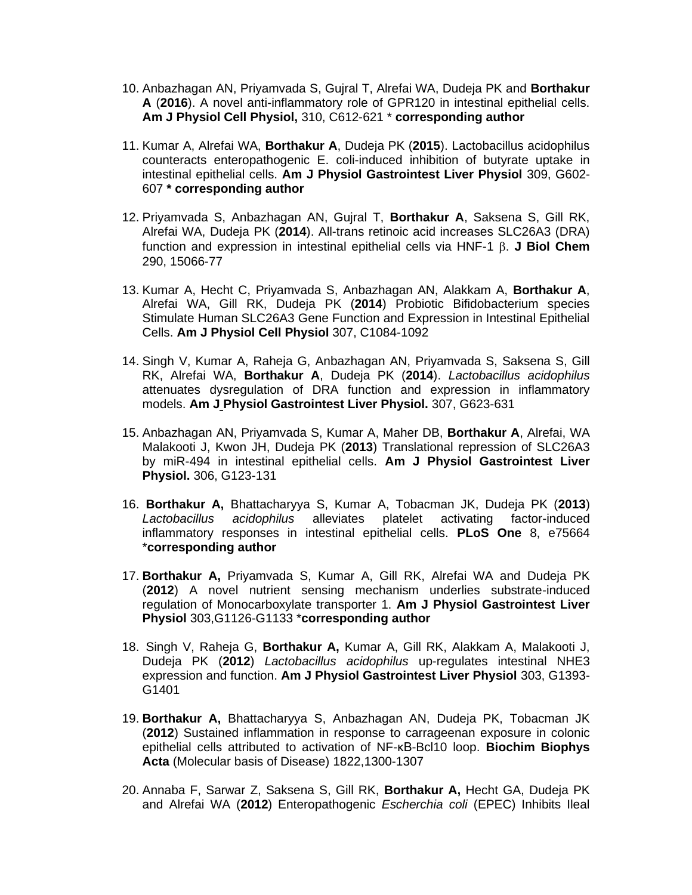- 10. Anbazhagan AN, Priyamvada S, Gujral T, Alrefai WA, Dudeja PK and **Borthakur A** (**2016**). A novel anti-inflammatory role of GPR120 in intestinal epithelial cells. **Am J Physiol Cell Physiol,** 310, C612-621 \* **corresponding author**
- 11. Kumar A, Alrefai WA, **Borthakur A**, Dudeja PK (**2015**). Lactobacillus acidophilus counteracts enteropathogenic E. coli-induced inhibition of butyrate uptake in intestinal epithelial cells. **Am J Physiol Gastrointest Liver Physiol** 309, G602- 607 **\* corresponding author**
- 12. Priyamvada S, Anbazhagan AN, Gujral T, **Borthakur A**, Saksena S, Gill RK, Alrefai WA, Dudeja PK (**2014**). All-trans retinoic acid increases SLC26A3 (DRA) function and expression in intestinal epithelial cells via HNF-1  $\beta$ . **J Biol Chem** 290, 15066-77
- 13. Kumar A, Hecht C, Priyamvada S, Anbazhagan AN, Alakkam A, **Borthakur A**, Alrefai WA, Gill RK, Dudeja PK (**2014**) Probiotic Bifidobacterium species Stimulate Human SLC26A3 Gene Function and Expression in Intestinal Epithelial Cells. **Am J Physiol Cell Physiol** 307, C1084-1092
- 14. Singh V, Kumar A, Raheja G, Anbazhagan AN, Priyamvada S, Saksena S, Gill RK, Alrefai WA, **Borthakur A**, Dudeja PK (**2014**). *Lactobacillus acidophilus* attenuates dysregulation of DRA function and expression in inflammatory models. **Am J Physiol Gastrointest Liver Physiol.** 307, G623-631
- 15. Anbazhagan AN, Priyamvada S, Kumar A, Maher DB, **Borthakur A**, Alrefai, WA Malakooti J, Kwon JH, Dudeja PK (**2013**) Translational repression of SLC26A3 by miR-494 in intestinal epithelial cells. **Am J Physiol Gastrointest Liver Physiol.** 306, G123-131
- 16. **Borthakur A,** Bhattacharyya S, Kumar A, Tobacman JK, Dudeja PK (**2013**) *Lactobacillus acidophilus* alleviates platelet activating factor-induced inflammatory responses in intestinal epithelial cells. **PLoS One** 8, e75664 \***corresponding author**
- 17. **Borthakur A,** Priyamvada S, Kumar A, Gill RK, Alrefai WA and Dudeja PK (**2012**) A novel nutrient sensing mechanism underlies substrate-induced regulation of Monocarboxylate transporter 1. **Am J Physiol Gastrointest Liver Physiol** 303,G1126-G1133 \***corresponding author**
- 18. Singh V, Raheja G, **Borthakur A,** Kumar A, Gill RK, Alakkam A, Malakooti J, Dudeja PK (**2012**) *Lactobacillus acidophilus* up-regulates intestinal NHE3 expression and function. **Am J Physiol Gastrointest Liver Physiol** 303, G1393- G1401
- 19. **Borthakur A,** Bhattacharyya S, Anbazhagan AN, Dudeja PK, Tobacman JK (**2012**) Sustained inflammation in response to carrageenan exposure in colonic epithelial cells attributed to activation of NF-κB-Bcl10 loop. **Biochim Biophys Acta** (Molecular basis of Disease) 1822,1300-1307
- 20. Annaba F, Sarwar Z, Saksena S, Gill RK, **Borthakur A,** Hecht GA, Dudeja PK and Alrefai WA (**2012**) Enteropathogenic *Escherchia coli* (EPEC) Inhibits Ileal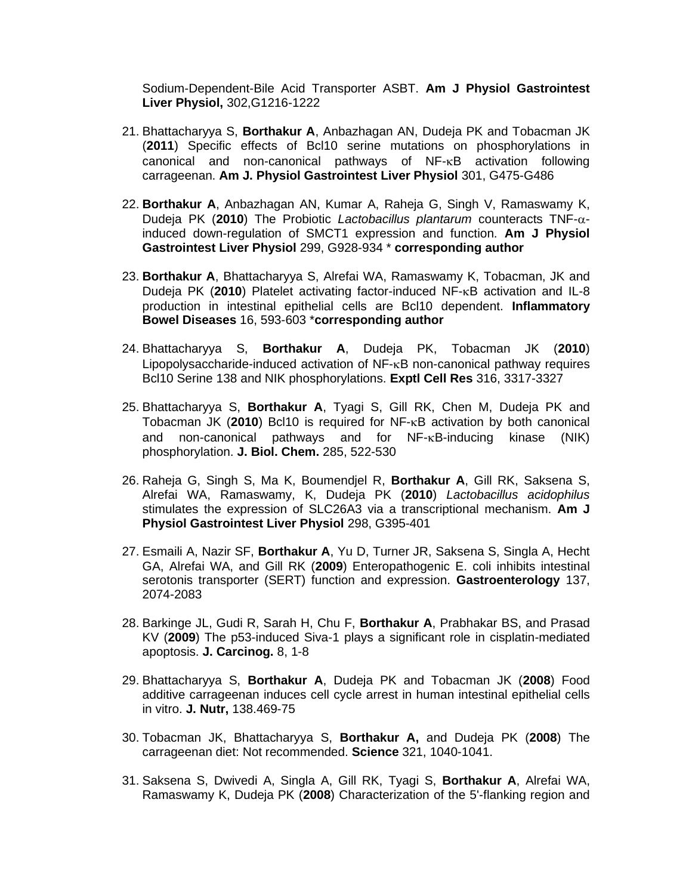Sodium-Dependent-Bile Acid Transporter ASBT. **Am J Physiol Gastrointest Liver Physiol,** 302,G1216-1222

- 21. Bhattacharyya S, **Borthakur A**, Anbazhagan AN, Dudeja PK and Tobacman JK (**2011**) Specific effects of Bcl10 serine mutations on phosphorylations in canonical and non-canonical pathways of  $NF - \kappa B$  activation following carrageenan. **Am J. Physiol Gastrointest Liver Physiol** 301, G475-G486
- 22. **Borthakur A**, Anbazhagan AN, Kumar A, Raheja G, Singh V, Ramaswamy K, Dudeja PK (**2010**) The Probiotic *Lactobacillus plantarum* counteracts TNF- induced down-regulation of SMCT1 expression and function. **Am J Physiol Gastrointest Liver Physiol** 299, G928-934 \* **corresponding author**
- 23. **Borthakur A**, Bhattacharyya S, Alrefai WA, Ramaswamy K, Tobacman, JK and Dudeja PK (2010) Platelet activating factor-induced NF-<sub>K</sub>B activation and IL-8 production in intestinal epithelial cells are Bcl10 dependent. **Inflammatory Bowel Diseases** 16, 593-603 \***corresponding author**
- 24. Bhattacharyya S, **Borthakur A**, Dudeja PK, Tobacman JK (**2010**) Lipopolysaccharide-induced activation of  $NF$ - $\kappa$ B non-canonical pathway requires Bcl10 Serine 138 and NIK phosphorylations. **Exptl Cell Res** 316, 3317-3327
- 25. Bhattacharyya S, **Borthakur A**, Tyagi S, Gill RK, Chen M, Dudeja PK and Tobacman JK (2010) Bcl10 is required for NF-<sub>K</sub>B activation by both canonical and non-canonical pathways and for  $NF$ - $\kappa$ B-inducing kinase (NIK) phosphorylation. **J. Biol. Chem.** 285, 522-530
- 26. Raheja G, Singh S, Ma K, Boumendjel R, **Borthakur A**, Gill RK, Saksena S, Alrefai WA, Ramaswamy, K, Dudeja PK (**2010**) *Lactobacillus acidophilus*  stimulates the expression of SLC26A3 via a transcriptional mechanism. **Am J Physiol Gastrointest Liver Physiol** 298, G395-401
- 27. Esmaili A, Nazir SF, **Borthakur A**, Yu D, Turner JR, Saksena S, Singla A, Hecht GA, Alrefai WA, and Gill RK (**2009**) Enteropathogenic E. coli inhibits intestinal serotonis transporter (SERT) function and expression. **Gastroenterology** 137, 2074-2083
- 28. Barkinge JL, Gudi R, Sarah H, Chu F, **Borthakur A**, Prabhakar BS, and Prasad KV (**2009**) The p53-induced Siva-1 plays a significant role in cisplatin-mediated apoptosis. **J. Carcinog.** 8, 1-8
- 29. Bhattacharyya S, **Borthakur A**, Dudeja PK and Tobacman JK (**2008**) Food additive carrageenan induces cell cycle arrest in human intestinal epithelial cells in vitro. **J. Nutr,** 138.469-75
- 30. Tobacman JK, Bhattacharyya S, **Borthakur A,** and Dudeja PK (**2008**) The carrageenan diet: Not recommended. **Science** 321, 1040-1041.
- 31. Saksena S, Dwivedi A, Singla A, Gill RK, Tyagi S, **Borthakur A**, Alrefai WA, Ramaswamy K, Dudeja PK (**2008**) Characterization of the 5'-flanking region and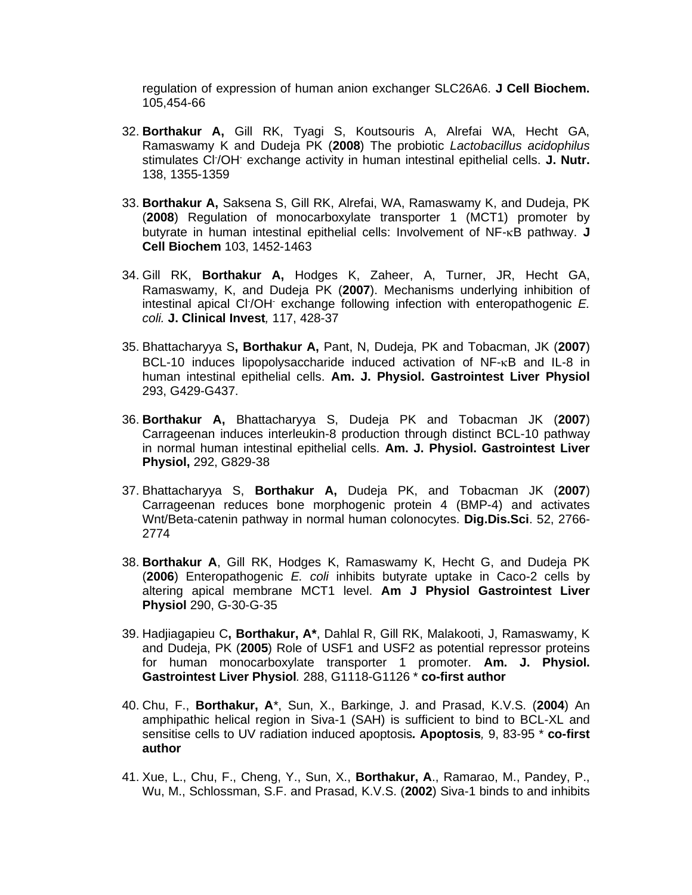regulation of expression of human anion exchanger SLC26A6. **J Cell Biochem.** 105,454-66

- 32. **Borthakur A,** Gill RK, Tyagi S, Koutsouris A, Alrefai WA, Hecht GA, Ramaswamy K and Dudeja PK (**2008**) The probiotic *Lactobacillus acidophilus* stimulates Cl- /OH- exchange activity in human intestinal epithelial cells. **J. Nutr.**  138, 1355-1359
- 33. **Borthakur A,** Saksena S, Gill RK, Alrefai, WA, Ramaswamy K, and Dudeja, PK (**2008**) Regulation of monocarboxylate transporter 1 (MCT1) promoter by butyrate in human intestinal epithelial cells: Involvement of NF-<sub>K</sub>B pathway. **J Cell Biochem** 103, 1452-1463
- 34. Gill RK, **Borthakur A,** Hodges K, Zaheer, A, Turner, JR, Hecht GA, Ramaswamy, K, and Dudeja PK (**2007**). Mechanisms underlying inhibition of intestinal apical Cl- /OH- exchange following infection with enteropathogenic *E. coli.* **J. Clinical Invest***,* 117, 428-37
- 35. Bhattacharyya S**, Borthakur A,** Pant, N, Dudeja, PK and Tobacman, JK (**2007**) BCL-10 induces lipopolysaccharide induced activation of  $NF-kB$  and IL-8 in human intestinal epithelial cells. **Am. J. Physiol. Gastrointest Liver Physiol** 293, G429-G437.
- 36. **Borthakur A,** Bhattacharyya S, Dudeja PK and Tobacman JK (**2007**) Carrageenan induces interleukin-8 production through distinct BCL-10 pathway in normal human intestinal epithelial cells. **Am. J. Physiol. Gastrointest Liver Physiol,** 292, G829-38
- 37. Bhattacharyya S, **Borthakur A,** Dudeja PK, and Tobacman JK (**2007**) Carrageenan reduces bone morphogenic protein 4 (BMP-4) and activates Wnt/Beta-catenin pathway in normal human colonocytes. **Dig.Dis.Sci**. 52, 2766- 2774
- 38. **Borthakur A**, Gill RK, Hodges K, Ramaswamy K, Hecht G, and Dudeja PK (**2006**) Enteropathogenic *E. coli* inhibits butyrate uptake in Caco-2 cells by altering apical membrane MCT1 level. **Am J Physiol Gastrointest Liver Physiol** 290, G-30-G-35
- 39. Hadjiagapieu C**, Borthakur, A\***, Dahlal R, Gill RK, Malakooti, J, Ramaswamy, K and Dudeja, PK (**2005**) Role of USF1 and USF2 as potential repressor proteins for human monocarboxylate transporter 1 promoter. **Am. J. Physiol. Gastrointest Liver Physiol***.* 288, G1118-G1126 \* **co-first author**
- 40. Chu, F., **Borthakur, A**\*, Sun, X., Barkinge, J. and Prasad, K.V.S. (**2004**) An amphipathic helical region in Siva-1 (SAH) is sufficient to bind to BCL-XL and sensitise cells to UV radiation induced apoptosis*.* **Apoptosis***,* 9, 83-95 \* **co-first author**
- 41. Xue, L., Chu, F., Cheng, Y., Sun, X., **Borthakur, A**., Ramarao, M., Pandey, P., Wu, M., Schlossman, S.F. and Prasad, K.V.S. (**2002**) Siva-1 binds to and inhibits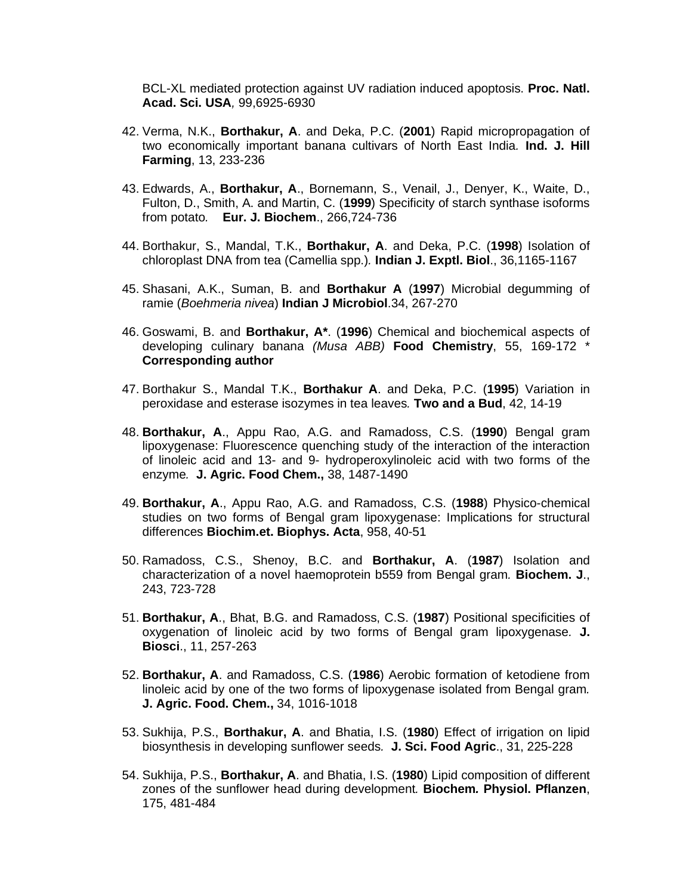BCL-XL mediated protection against UV radiation induced apoptosis. **Proc. Natl. Acad. Sci. USA***,* 99,6925-6930

- 42. Verma, N.K., **Borthakur, A**. and Deka, P.C. (**2001**) Rapid micropropagation of two economically important banana cultivars of North East India*.* **Ind. J. Hill Farming**, 13, 233-236
- 43. Edwards, A., **Borthakur, A**., Bornemann, S., Venail, J., Denyer, K., Waite, D., Fulton, D., Smith, A. and Martin, C. (**1999**) Specificity of starch synthase isoforms from potato*.* **Eur. J. Biochem**., 266,724-736
- 44. Borthakur, S., Mandal, T.K., **Borthakur, A**. and Deka, P.C. (**1998**) Isolation of chloroplast DNA from tea (Camellia spp.)*.* **Indian J. Exptl. Biol**., 36,1165-1167
- 45. Shasani, A.K., Suman, B. and **Borthakur A** (**1997**) Microbial degumming of ramie (*Boehmeria nivea*) **Indian J Microbiol**.34, 267-270
- 46. Goswami, B. and **Borthakur, A\***. (**1996**) Chemical and biochemical aspects of developing culinary banana *(Musa ABB)* **Food Chemistry**, 55, 169-172 \* **Corresponding author**
- 47. Borthakur S., Mandal T.K., **Borthakur A**. and Deka, P.C. (**1995**) Variation in peroxidase and esterase isozymes in tea leaves*.* **Two and a Bud**, 42, 14-19
- 48. **Borthakur, A**., Appu Rao, A.G. and Ramadoss, C.S. (**1990**) Bengal gram lipoxygenase: Fluorescence quenching study of the interaction of the interaction of linoleic acid and 13- and 9- hydroperoxylinoleic acid with two forms of the enzyme*.* **J. Agric. Food Chem.,** 38, 1487-1490
- 49. **Borthakur, A**., Appu Rao, A.G. and Ramadoss, C.S. (**1988**) Physico-chemical studies on two forms of Bengal gram lipoxygenase: Implications for structural differences **Biochim.et. Biophys. Acta**, 958, 40-51
- 50. Ramadoss, C.S., Shenoy, B.C. and **Borthakur, A**. (**1987**) Isolation and characterization of a novel haemoprotein b559 from Bengal gram*.* **Biochem. J**., 243, 723-728
- 51. **Borthakur, A**., Bhat, B.G. and Ramadoss, C.S. (**1987**) Positional specificities of oxygenation of linoleic acid by two forms of Bengal gram lipoxygenase*.* **J. Biosci**., 11, 257-263
- 52. **Borthakur, A**. and Ramadoss, C.S. (**1986**) Aerobic formation of ketodiene from linoleic acid by one of the two forms of lipoxygenase isolated from Bengal gram*.*  **J. Agric. Food. Chem.,** 34, 1016-1018
- 53. Sukhija, P.S., **Borthakur, A**. and Bhatia, I.S. (**1980**) Effect of irrigation on lipid biosynthesis in developing sunflower seeds*.* **J. Sci. Food Agric**., 31, 225-228
- 54. Sukhija, P.S., **Borthakur, A**. and Bhatia, I.S. (**1980**) Lipid composition of different zones of the sunflower head during development*.* **Biochem***.* **Physiol. Pflanzen**, 175, 481-484